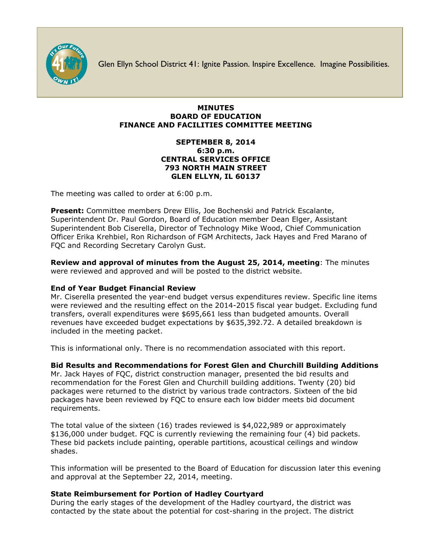

Glen Ellyn School District 41: Ignite Passion. Inspire Excellence. Imagine Possibilities.

### **MINUTES BOARD OF EDUCATION FINANCE AND FACILITIES COMMITTEE MEETING**

### **SEPTEMBER 8, 2014 6:30 p.m. CENTRAL SERVICES OFFICE 793 NORTH MAIN STREET GLEN ELLYN, IL 60137**

The meeting was called to order at 6:00 p.m.

**Present:** Committee members Drew Ellis, Joe Bochenski and Patrick Escalante, Superintendent Dr. Paul Gordon, Board of Education member Dean Elger, Assistant Superintendent Bob Ciserella, Director of Technology Mike Wood, Chief Communication Officer [Erika Krehbiel,](http://www.d41.org/contact_email.asp?id=ekrehbiel&n=Erika_Krehbiel) Ron Richardson of FGM Architects, Jack Hayes and Fred Marano of FQC and Recording Secretary Carolyn Gust.

**Review and approval of minutes from the August 25, 2014, meeting**: The minutes were reviewed and approved and will be posted to the district website.

# **End of Year Budget Financial Review**

Mr. Ciserella presented the year-end budget versus expenditures review. Specific line items were reviewed and the resulting effect on the 2014-2015 fiscal year budget. Excluding fund transfers, overall expenditures were \$695,661 less than budgeted amounts. Overall revenues have exceeded budget expectations by \$635,392.72. A detailed breakdown is included in the meeting packet.

This is informational only. There is no recommendation associated with this report.

# **Bid Results and Recommendations for Forest Glen and Churchill Building Additions**

Mr. Jack Hayes of FQC, district construction manager, presented the bid results and recommendation for the Forest Glen and Churchill building additions. Twenty (20) bid packages were returned to the district by various trade contractors. Sixteen of the bid packages have been reviewed by FQC to ensure each low bidder meets bid document requirements.

The total value of the sixteen (16) trades reviewed is \$4,022,989 or approximately \$136,000 under budget. FQC is currently reviewing the remaining four (4) bid packets. These bid packets include painting, operable partitions, acoustical ceilings and window shades.

This information will be presented to the Board of Education for discussion later this evening and approval at the September 22, 2014, meeting.

# **State Reimbursement for Portion of Hadley Courtyard**

During the early stages of the development of the Hadley courtyard, the district was contacted by the state about the potential for cost-sharing in the project. The district